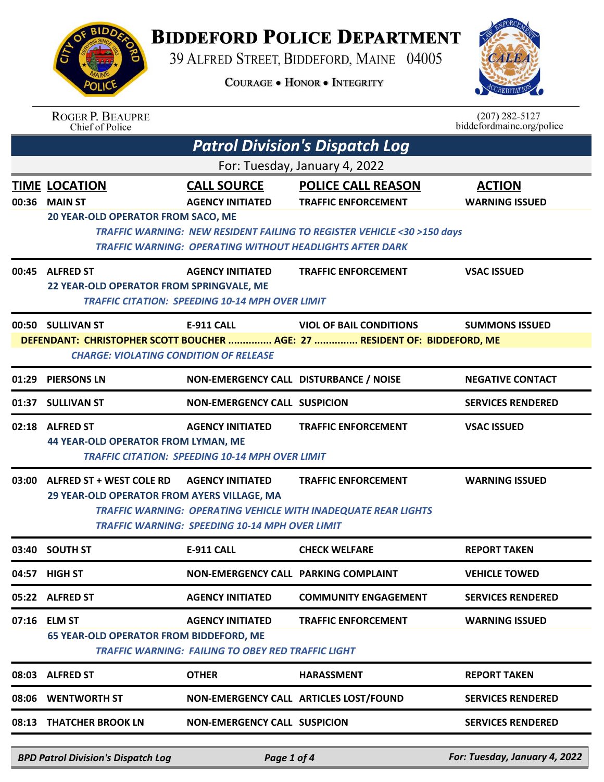## **BIDDEFORD POLICE DEPARTMENT**

39 ALFRED STREET, BIDDEFORD, MAINE 04005

**COURAGE . HONOR . INTEGRITY** 



|       | <b>ROGER P. BEAUPRE</b><br>Chief of Police                                     |                                                                                      |                                                                                                                                                                                                                    | $(207) 282 - 5127$<br>biddefordmaine.org/police |
|-------|--------------------------------------------------------------------------------|--------------------------------------------------------------------------------------|--------------------------------------------------------------------------------------------------------------------------------------------------------------------------------------------------------------------|-------------------------------------------------|
|       |                                                                                |                                                                                      | <b>Patrol Division's Dispatch Log</b>                                                                                                                                                                              |                                                 |
|       |                                                                                |                                                                                      | For: Tuesday, January 4, 2022                                                                                                                                                                                      |                                                 |
| 00:36 | <b>TIME LOCATION</b><br><b>MAIN ST</b><br>20 YEAR-OLD OPERATOR FROM SACO, ME   | <b>CALL SOURCE</b><br><b>AGENCY INITIATED</b>                                        | <b>POLICE CALL REASON</b><br><b>TRAFFIC ENFORCEMENT</b><br><b>TRAFFIC WARNING: NEW RESIDENT FAILING TO REGISTER VEHICLE &lt;30 &gt;150 days</b><br><b>TRAFFIC WARNING: OPERATING WITHOUT HEADLIGHTS AFTER DARK</b> | <b>ACTION</b><br><b>WARNING ISSUED</b>          |
|       | 00:45 ALFRED ST<br>22 YEAR-OLD OPERATOR FROM SPRINGVALE, ME                    | <b>AGENCY INITIATED</b><br><b>TRAFFIC CITATION: SPEEDING 10-14 MPH OVER LIMIT</b>    | <b>TRAFFIC ENFORCEMENT</b>                                                                                                                                                                                         | <b>VSAC ISSUED</b>                              |
|       | 00:50 SULLIVAN ST<br><b>CHARGE: VIOLATING CONDITION OF RELEASE</b>             | <b>E-911 CALL</b>                                                                    | <b>VIOL OF BAIL CONDITIONS</b><br>DEFENDANT: CHRISTOPHER SCOTT BOUCHER  AGE: 27  RESIDENT OF: BIDDEFORD, ME                                                                                                        | <b>SUMMONS ISSUED</b>                           |
|       | 01:29 PIERSONS LN                                                              | NON-EMERGENCY CALL DISTURBANCE / NOISE                                               |                                                                                                                                                                                                                    | <b>NEGATIVE CONTACT</b>                         |
|       | 01:37 SULLIVAN ST                                                              | <b>NON-EMERGENCY CALL SUSPICION</b>                                                  |                                                                                                                                                                                                                    | <b>SERVICES RENDERED</b>                        |
|       | 02:18 ALFRED ST<br>44 YEAR-OLD OPERATOR FROM LYMAN, ME                         | <b>AGENCY INITIATED</b><br><b>TRAFFIC CITATION: SPEEDING 10-14 MPH OVER LIMIT</b>    | <b>TRAFFIC ENFORCEMENT</b>                                                                                                                                                                                         | <b>VSAC ISSUED</b>                              |
| 03:00 | <b>ALFRED ST + WEST COLE RD</b><br>29 YEAR-OLD OPERATOR FROM AYERS VILLAGE, MA | <b>AGENCY INITIATED</b><br><b>TRAFFIC WARNING: SPEEDING 10-14 MPH OVER LIMIT</b>     | <b>TRAFFIC ENFORCEMENT</b><br>TRAFFIC WARNING: OPERATING VEHICLE WITH INADEQUATE REAR LIGHTS                                                                                                                       | <b>WARNING ISSUED</b>                           |
|       | 03:40 SOUTH ST                                                                 | E-911 CALL                                                                           | <b>CHECK WELFARE</b>                                                                                                                                                                                               | <b>REPORT TAKEN</b>                             |
|       | 04:57 HIGH ST                                                                  | NON-EMERGENCY CALL PARKING COMPLAINT                                                 |                                                                                                                                                                                                                    | <b>VEHICLE TOWED</b>                            |
|       | 05:22 ALFRED ST                                                                | <b>AGENCY INITIATED</b>                                                              | <b>COMMUNITY ENGAGEMENT</b>                                                                                                                                                                                        | <b>SERVICES RENDERED</b>                        |
|       | 07:16 ELM ST<br><b>65 YEAR-OLD OPERATOR FROM BIDDEFORD, ME</b>                 | <b>AGENCY INITIATED</b><br><b>TRAFFIC WARNING: FAILING TO OBEY RED TRAFFIC LIGHT</b> | <b>TRAFFIC ENFORCEMENT</b>                                                                                                                                                                                         | <b>WARNING ISSUED</b>                           |
|       | 08:03 ALFRED ST                                                                | <b>OTHER</b>                                                                         | <b>HARASSMENT</b>                                                                                                                                                                                                  | <b>REPORT TAKEN</b>                             |
|       | 08:06 WENTWORTH ST                                                             | NON-EMERGENCY CALL ARTICLES LOST/FOUND                                               |                                                                                                                                                                                                                    | <b>SERVICES RENDERED</b>                        |
|       | 08:13 THATCHER BROOK LN                                                        | <b>NON-EMERGENCY CALL SUSPICION</b>                                                  |                                                                                                                                                                                                                    | <b>SERVICES RENDERED</b>                        |
|       |                                                                                |                                                                                      |                                                                                                                                                                                                                    |                                                 |

*BPD Patrol Division's Dispatch Log Page 1 of 4 For: Tuesday, January 4, 2022*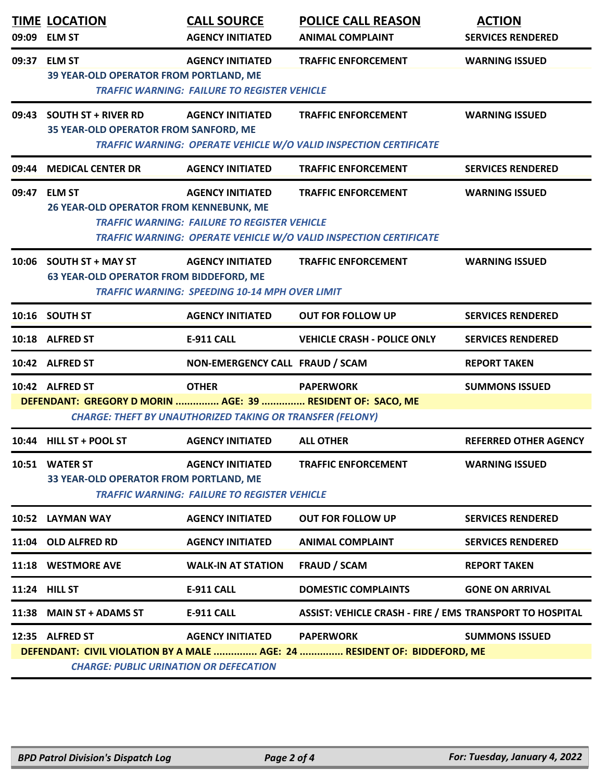| 09:09 | <b>TIME LOCATION</b><br><b>ELM ST</b>                                         | <b>CALL SOURCE</b><br><b>AGENCY INITIATED</b>                                    | <b>POLICE CALL REASON</b><br><b>ANIMAL COMPLAINT</b>                                            | <b>ACTION</b><br><b>SERVICES RENDERED</b> |
|-------|-------------------------------------------------------------------------------|----------------------------------------------------------------------------------|-------------------------------------------------------------------------------------------------|-------------------------------------------|
| 09:37 | <b>ELM ST</b><br>39 YEAR-OLD OPERATOR FROM PORTLAND, ME                       | <b>AGENCY INITIATED</b><br><b>TRAFFIC WARNING: FAILURE TO REGISTER VEHICLE</b>   | <b>TRAFFIC ENFORCEMENT</b>                                                                      | <b>WARNING ISSUED</b>                     |
| 09:43 | <b>SOUTH ST + RIVER RD</b><br>35 YEAR-OLD OPERATOR FROM SANFORD, ME           | <b>AGENCY INITIATED</b>                                                          | <b>TRAFFIC ENFORCEMENT</b><br>TRAFFIC WARNING: OPERATE VEHICLE W/O VALID INSPECTION CERTIFICATE | <b>WARNING ISSUED</b>                     |
| 09:44 | <b>MEDICAL CENTER DR</b>                                                      | <b>AGENCY INITIATED</b>                                                          | <b>TRAFFIC ENFORCEMENT</b>                                                                      | <b>SERVICES RENDERED</b>                  |
| 09:47 | <b>ELM ST</b><br>26 YEAR-OLD OPERATOR FROM KENNEBUNK, ME                      | <b>AGENCY INITIATED</b><br><b>TRAFFIC WARNING: FAILURE TO REGISTER VEHICLE</b>   | <b>TRAFFIC ENFORCEMENT</b><br>TRAFFIC WARNING: OPERATE VEHICLE W/O VALID INSPECTION CERTIFICATE | <b>WARNING ISSUED</b>                     |
| 10:06 | <b>SOUTH ST + MAY ST</b><br><b>63 YEAR-OLD OPERATOR FROM BIDDEFORD, ME</b>    | <b>AGENCY INITIATED</b><br><b>TRAFFIC WARNING: SPEEDING 10-14 MPH OVER LIMIT</b> | <b>TRAFFIC ENFORCEMENT</b>                                                                      | <b>WARNING ISSUED</b>                     |
|       | 10:16 SOUTH ST                                                                | <b>AGENCY INITIATED</b>                                                          | <b>OUT FOR FOLLOW UP</b>                                                                        | <b>SERVICES RENDERED</b>                  |
|       | 10:18 ALFRED ST                                                               | E-911 CALL                                                                       | <b>VEHICLE CRASH - POLICE ONLY</b>                                                              | <b>SERVICES RENDERED</b>                  |
|       | 10:42 ALFRED ST                                                               | NON-EMERGENCY CALL FRAUD / SCAM                                                  |                                                                                                 | <b>REPORT TAKEN</b>                       |
|       | 10:42 ALFRED ST<br>DEFENDANT: GREGORY D MORIN  AGE: 39  RESIDENT OF: SACO, ME | <b>OTHER</b><br><b>CHARGE: THEFT BY UNAUTHORIZED TAKING OR TRANSFER (FELONY)</b> | <b>PAPERWORK</b>                                                                                | <b>SUMMONS ISSUED</b>                     |
|       | 10:44 HILL ST + POOL ST                                                       | <b>AGENCY INITIATED</b>                                                          | <b>ALL OTHER</b>                                                                                | <b>REFERRED OTHER AGENCY</b>              |
|       | 10:51 WATER ST<br>33 YEAR-OLD OPERATOR FROM PORTLAND, ME                      | <b>AGENCY INITIATED</b><br><b>TRAFFIC WARNING: FAILURE TO REGISTER VEHICLE</b>   | <b>TRAFFIC ENFORCEMENT</b>                                                                      | <b>WARNING ISSUED</b>                     |
|       | 10:52 LAYMAN WAY                                                              | <b>AGENCY INITIATED</b>                                                          | <b>OUT FOR FOLLOW UP</b>                                                                        | <b>SERVICES RENDERED</b>                  |
| 11:04 | <b>OLD ALFRED RD</b>                                                          | <b>AGENCY INITIATED</b>                                                          | <b>ANIMAL COMPLAINT</b>                                                                         | <b>SERVICES RENDERED</b>                  |
|       | 11:18 WESTMORE AVE                                                            | <b>WALK-IN AT STATION</b>                                                        | <b>FRAUD / SCAM</b>                                                                             | <b>REPORT TAKEN</b>                       |
|       | 11:24 HILL ST                                                                 | <b>E-911 CALL</b>                                                                | <b>DOMESTIC COMPLAINTS</b>                                                                      | <b>GONE ON ARRIVAL</b>                    |
| 11:38 | <b>MAIN ST + ADAMS ST</b>                                                     | <b>E-911 CALL</b>                                                                | <b>ASSIST: VEHICLE CRASH - FIRE / EMS TRANSPORT TO HOSPITAL</b>                                 |                                           |
|       | 12:35 ALFRED ST<br><b>CHARGE: PUBLIC URINATION OR DEFECATION</b>              | <b>AGENCY INITIATED</b>                                                          | <b>PAPERWORK</b><br>DEFENDANT: CIVIL VIOLATION BY A MALE  AGE: 24  RESIDENT OF: BIDDEFORD, ME   | <b>SUMMONS ISSUED</b>                     |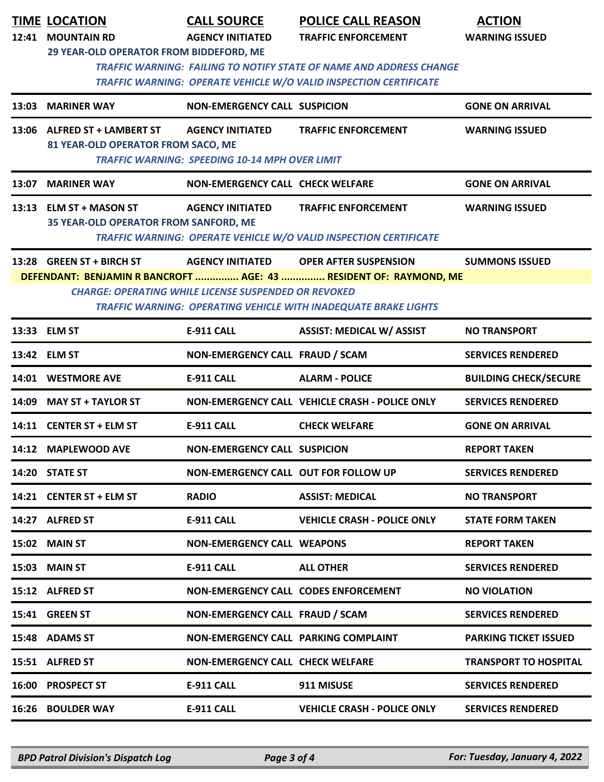|       | <b>TIME LOCATION</b><br>12:41 MOUNTAIN RD                                                | <b>CALL SOURCE</b><br><b>AGENCY INITIATED</b>                                    | <b>POLICE CALL REASON</b><br><b>TRAFFIC ENFORCEMENT</b>                                                                                                              | <b>ACTION</b><br><b>WARNING ISSUED</b> |
|-------|------------------------------------------------------------------------------------------|----------------------------------------------------------------------------------|----------------------------------------------------------------------------------------------------------------------------------------------------------------------|----------------------------------------|
|       | 29 YEAR-OLD OPERATOR FROM BIDDEFORD, ME                                                  |                                                                                  | <b>TRAFFIC WARNING: FAILING TO NOTIFY STATE OF NAME AND ADDRESS CHANGE</b><br><b>TRAFFIC WARNING: OPERATE VEHICLE W/O VALID INSPECTION CERTIFICATE</b>               |                                        |
| 13:03 | <b>MARINER WAY</b>                                                                       | <b>NON-EMERGENCY CALL SUSPICION</b>                                              |                                                                                                                                                                      | <b>GONE ON ARRIVAL</b>                 |
|       | 13:06 ALFRED ST + LAMBERT ST<br>81 YEAR-OLD OPERATOR FROM SACO, ME                       | <b>AGENCY INITIATED</b><br><b>TRAFFIC WARNING: SPEEDING 10-14 MPH OVER LIMIT</b> | <b>TRAFFIC ENFORCEMENT</b>                                                                                                                                           | <b>WARNING ISSUED</b>                  |
| 13:07 | <b>MARINER WAY</b>                                                                       | <b>NON-EMERGENCY CALL CHECK WELFARE</b>                                          |                                                                                                                                                                      | <b>GONE ON ARRIVAL</b>                 |
|       | 13:13 ELM ST + MASON ST<br>35 YEAR-OLD OPERATOR FROM SANFORD, ME                         | <b>AGENCY INITIATED</b>                                                          | <b>TRAFFIC ENFORCEMENT</b><br>TRAFFIC WARNING: OPERATE VEHICLE W/O VALID INSPECTION CERTIFICATE                                                                      | <b>WARNING ISSUED</b>                  |
|       | 13:28 GREEN ST + BIRCH ST<br><b>CHARGE: OPERATING WHILE LICENSE SUSPENDED OR REVOKED</b> | <b>AGENCY INITIATED</b>                                                          | <b>OPER AFTER SUSPENSION</b><br>DEFENDANT: BENJAMIN R BANCROFT  AGE: 43  RESIDENT OF: RAYMOND, ME<br>TRAFFIC WARNING: OPERATING VEHICLE WITH INADEQUATE BRAKE LIGHTS | <b>SUMMONS ISSUED</b>                  |
|       | 13:33 ELM ST                                                                             | <b>E-911 CALL</b>                                                                | <b>ASSIST: MEDICAL W/ ASSIST</b>                                                                                                                                     | <b>NO TRANSPORT</b>                    |
|       | 13:42 ELM ST                                                                             | NON-EMERGENCY CALL FRAUD / SCAM                                                  |                                                                                                                                                                      | <b>SERVICES RENDERED</b>               |
| 14:01 | <b>WESTMORE AVE</b>                                                                      | <b>E-911 CALL</b>                                                                | <b>ALARM - POLICE</b>                                                                                                                                                | <b>BUILDING CHECK/SECURE</b>           |
| 14:09 | <b>MAY ST + TAYLOR ST</b>                                                                |                                                                                  | NON-EMERGENCY CALL VEHICLE CRASH - POLICE ONLY                                                                                                                       | <b>SERVICES RENDERED</b>               |
|       | 14:11 CENTER ST + ELM ST                                                                 | <b>E-911 CALL</b>                                                                | <b>CHECK WELFARE</b>                                                                                                                                                 | <b>GONE ON ARRIVAL</b>                 |
|       | 14:12 MAPLEWOOD AVE                                                                      | <b>NON-EMERGENCY CALL SUSPICION</b>                                              |                                                                                                                                                                      | <b>REPORT TAKEN</b>                    |
|       | 14:20 STATE ST                                                                           | NON-EMERGENCY CALL OUT FOR FOLLOW UP                                             |                                                                                                                                                                      | <b>SERVICES RENDERED</b>               |
|       | 14:21 CENTER ST + ELM ST                                                                 | <b>RADIO</b>                                                                     | <b>ASSIST: MEDICAL</b>                                                                                                                                               | <b>NO TRANSPORT</b>                    |
|       | 14:27 ALFRED ST                                                                          | <b>E-911 CALL</b>                                                                | <b>VEHICLE CRASH - POLICE ONLY</b>                                                                                                                                   | <b>STATE FORM TAKEN</b>                |
|       | 15:02 MAIN ST                                                                            | <b>NON-EMERGENCY CALL WEAPONS</b>                                                |                                                                                                                                                                      | <b>REPORT TAKEN</b>                    |
|       | 15:03 MAIN ST                                                                            | E-911 CALL                                                                       | <b>ALL OTHER</b>                                                                                                                                                     | <b>SERVICES RENDERED</b>               |
|       | 15:12 ALFRED ST                                                                          | <b>NON-EMERGENCY CALL CODES ENFORCEMENT</b>                                      |                                                                                                                                                                      | <b>NO VIOLATION</b>                    |
|       | 15:41 GREEN ST                                                                           | NON-EMERGENCY CALL FRAUD / SCAM                                                  |                                                                                                                                                                      | <b>SERVICES RENDERED</b>               |
|       | 15:48 ADAMS ST                                                                           | NON-EMERGENCY CALL PARKING COMPLAINT                                             |                                                                                                                                                                      | <b>PARKING TICKET ISSUED</b>           |
|       | 15:51 ALFRED ST                                                                          | <b>NON-EMERGENCY CALL CHECK WELFARE</b>                                          |                                                                                                                                                                      | <b>TRANSPORT TO HOSPITAL</b>           |
|       | 16:00 PROSPECT ST                                                                        | <b>E-911 CALL</b>                                                                | 911 MISUSE                                                                                                                                                           | <b>SERVICES RENDERED</b>               |
|       | <b>16:26 BOULDER WAY</b>                                                                 | E-911 CALL                                                                       | <b>VEHICLE CRASH - POLICE ONLY</b>                                                                                                                                   | <b>SERVICES RENDERED</b>               |